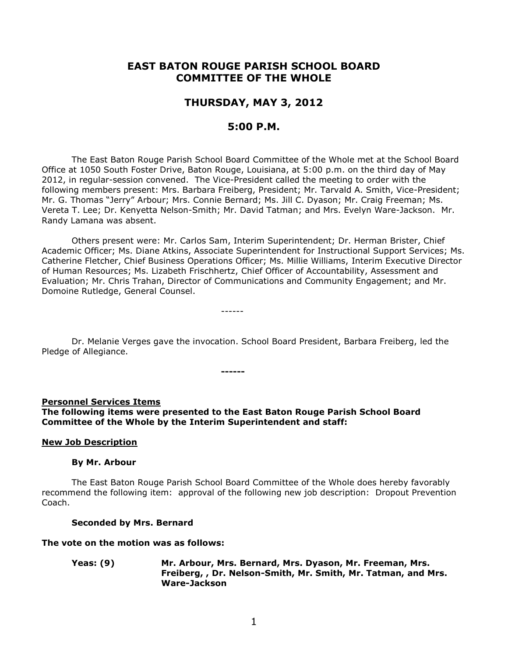# **EAST BATON ROUGE PARISH SCHOOL BOARD COMMITTEE OF THE WHOLE**

# **THURSDAY, MAY 3, 2012**

# **5:00 P.M.**

The East Baton Rouge Parish School Board Committee of the Whole met at the School Board Office at 1050 South Foster Drive, Baton Rouge, Louisiana, at 5:00 p.m. on the third day of May 2012, in regular-session convened. The Vice-President called the meeting to order with the following members present: Mrs. Barbara Freiberg, President; Mr. Tarvald A. Smith, Vice-President; Mr. G. Thomas "Jerry" Arbour; Mrs. Connie Bernard; Ms. Jill C. Dyason; Mr. Craig Freeman; Ms. Vereta T. Lee; Dr. Kenyetta Nelson-Smith; Mr. David Tatman; and Mrs. Evelyn Ware-Jackson. Mr. Randy Lamana was absent.

Others present were: Mr. Carlos Sam, Interim Superintendent; Dr. Herman Brister, Chief Academic Officer; Ms. Diane Atkins, Associate Superintendent for Instructional Support Services; Ms. Catherine Fletcher, Chief Business Operations Officer; Ms. Millie Williams, Interim Executive Director of Human Resources; Ms. Lizabeth Frischhertz, Chief Officer of Accountability, Assessment and Evaluation; Mr. Chris Trahan, Director of Communications and Community Engagement; and Mr. Domoine Rutledge, General Counsel.

------

Dr. Melanie Verges gave the invocation. School Board President, Barbara Freiberg, led the Pledge of Allegiance.

**------**

#### **Personnel Services Items**

**The following items were presented to the East Baton Rouge Parish School Board Committee of the Whole by the Interim Superintendent and staff:**

#### **New Job Description**

#### **By Mr. Arbour**

The East Baton Rouge Parish School Board Committee of the Whole does hereby favorably recommend the following item:approval of the following new job description: Dropout Prevention Coach.

#### **Seconded by Mrs. Bernard**

#### **The vote on the motion was as follows:**

**Yeas: (9) Mr. Arbour, Mrs. Bernard, Mrs. Dyason, Mr. Freeman, Mrs. Freiberg, , Dr. Nelson-Smith, Mr. Smith, Mr. Tatman, and Mrs. Ware-Jackson**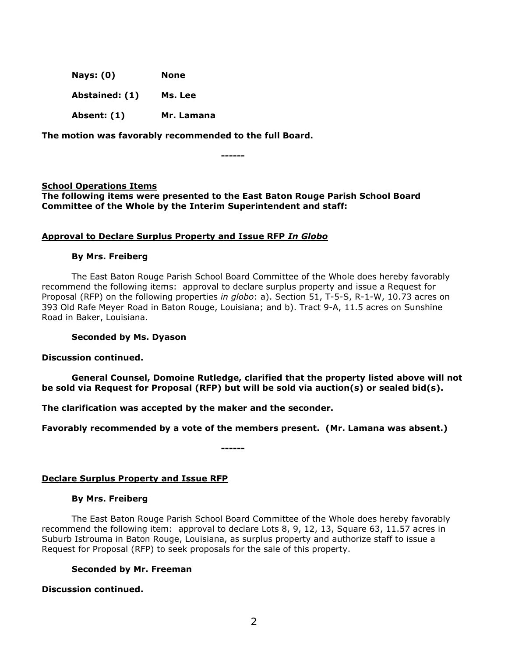| <b>Nays: (0)</b> | None       |
|------------------|------------|
| Abstained: (1)   | Ms. Lee    |
| Absent: (1)      | Mr. Lamana |

**The motion was favorably recommended to the full Board.**

**------**

## **School Operations Items**

**The following items were presented to the East Baton Rouge Parish School Board Committee of the Whole by the Interim Superintendent and staff:**

## **Approval to Declare Surplus Property and Issue RFP** *In Globo*

## **By Mrs. Freiberg**

The East Baton Rouge Parish School Board Committee of the Whole does hereby favorably recommend the following items: approval to declare surplus property and issue a Request for Proposal (RFP) on the following properties *in globo*: a). Section 51, T-5-S, R-1-W, 10.73 acres on 393 Old Rafe Meyer Road in Baton Rouge, Louisiana; and b). Tract 9-A, 11.5 acres on Sunshine Road in Baker, Louisiana.

## **Seconded by Ms. Dyason**

**Discussion continued.**

**General Counsel, Domoine Rutledge, clarified that the property listed above will not be sold via Request for Proposal (RFP) but will be sold via auction(s) or sealed bid(s).**

**The clarification was accepted by the maker and the seconder.** 

**Favorably recommended by a vote of the members present. (Mr. Lamana was absent.)**

**------**

# **Declare Surplus Property and Issue RFP**

## **By Mrs. Freiberg**

The East Baton Rouge Parish School Board Committee of the Whole does hereby favorably recommend the following item: approval to declare Lots 8, 9, 12, 13, Square 63, 11.57 acres in Suburb Istrouma in Baton Rouge, Louisiana, as surplus property and authorize staff to issue a Request for Proposal (RFP) to seek proposals for the sale of this property.

# **Seconded by Mr. Freeman**

**Discussion continued.**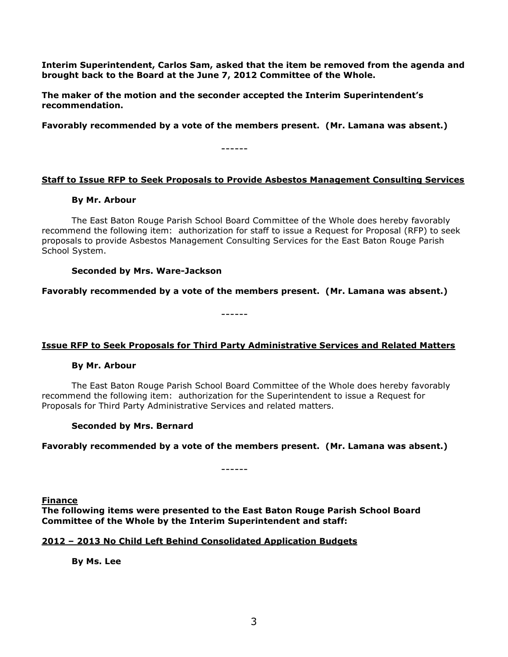**Interim Superintendent, Carlos Sam, asked that the item be removed from the agenda and brought back to the Board at the June 7, 2012 Committee of the Whole.**

**The maker of the motion and the seconder accepted the Interim Superintendent's recommendation.** 

**Favorably recommended by a vote of the members present. (Mr. Lamana was absent.)**

------

# **Staff to Issue RFP to Seek Proposals to Provide Asbestos Management Consulting Services**

## **By Mr. Arbour**

The East Baton Rouge Parish School Board Committee of the Whole does hereby favorably recommend the following item: authorization for staff to issue a Request for Proposal (RFP) to seek proposals to provide Asbestos Management Consulting Services for the East Baton Rouge Parish School System.

## **Seconded by Mrs. Ware-Jackson**

**Favorably recommended by a vote of the members present. (Mr. Lamana was absent.)**

------

# **Issue RFP to Seek Proposals for Third Party Administrative Services and Related Matters**

## **By Mr. Arbour**

The East Baton Rouge Parish School Board Committee of the Whole does hereby favorably recommend the following item: authorization for the Superintendent to issue a Request for Proposals for Third Party Administrative Services and related matters.

## **Seconded by Mrs. Bernard**

## **Favorably recommended by a vote of the members present. (Mr. Lamana was absent.)**

------

**Finance**

**The following items were presented to the East Baton Rouge Parish School Board Committee of the Whole by the Interim Superintendent and staff:**

# **2012 – 2013 No Child Left Behind Consolidated Application Budgets**

**By Ms. Lee**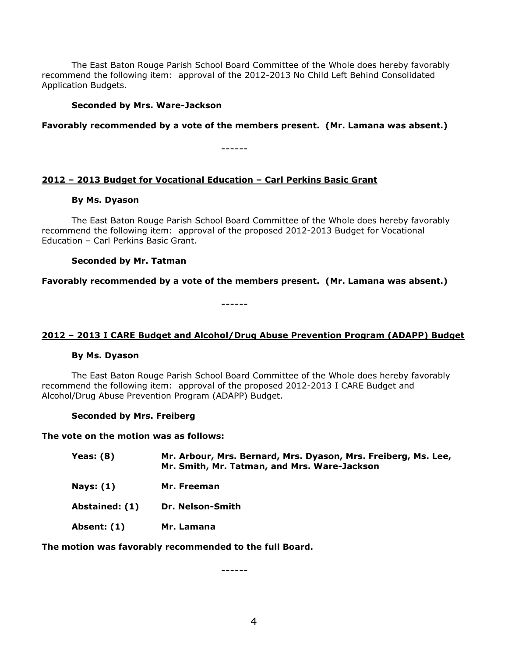The East Baton Rouge Parish School Board Committee of the Whole does hereby favorably recommend the following item: approval of the 2012-2013 No Child Left Behind Consolidated Application Budgets.

## **Seconded by Mrs. Ware-Jackson**

**Favorably recommended by a vote of the members present. (Mr. Lamana was absent.)**

------

# **2012 – 2013 Budget for Vocational Education – Carl Perkins Basic Grant**

### **By Ms. Dyason**

The East Baton Rouge Parish School Board Committee of the Whole does hereby favorably recommend the following item: approval of the proposed 2012-2013 Budget for Vocational Education – Carl Perkins Basic Grant.

#### **Seconded by Mr. Tatman**

**Favorably recommended by a vote of the members present. (Mr. Lamana was absent.)**

------

## **2012 – 2013 I CARE Budget and Alcohol/Drug Abuse Prevention Program (ADAPP) Budget**

## **By Ms. Dyason**

The East Baton Rouge Parish School Board Committee of the Whole does hereby favorably recommend the following item: approval of the proposed 2012-2013 I CARE Budget and Alcohol/Drug Abuse Prevention Program (ADAPP) Budget.

**Seconded by Mrs. Freiberg**

**The vote on the motion was as follows:**

| <b>Yeas: (8)</b> | Mr. Arbour, Mrs. Bernard, Mrs. Dyason, Mrs. Freiberg, Ms. Lee,<br>Mr. Smith, Mr. Tatman, and Mrs. Ware-Jackson |
|------------------|----------------------------------------------------------------------------------------------------------------|
| <b>Nays: (1)</b> | Mr. Freeman                                                                                                    |
| Abstained: (1)   | Dr. Nelson-Smith                                                                                               |
| Absent: (1)      | Mr. Lamana                                                                                                     |

**The motion was favorably recommended to the full Board.**

------